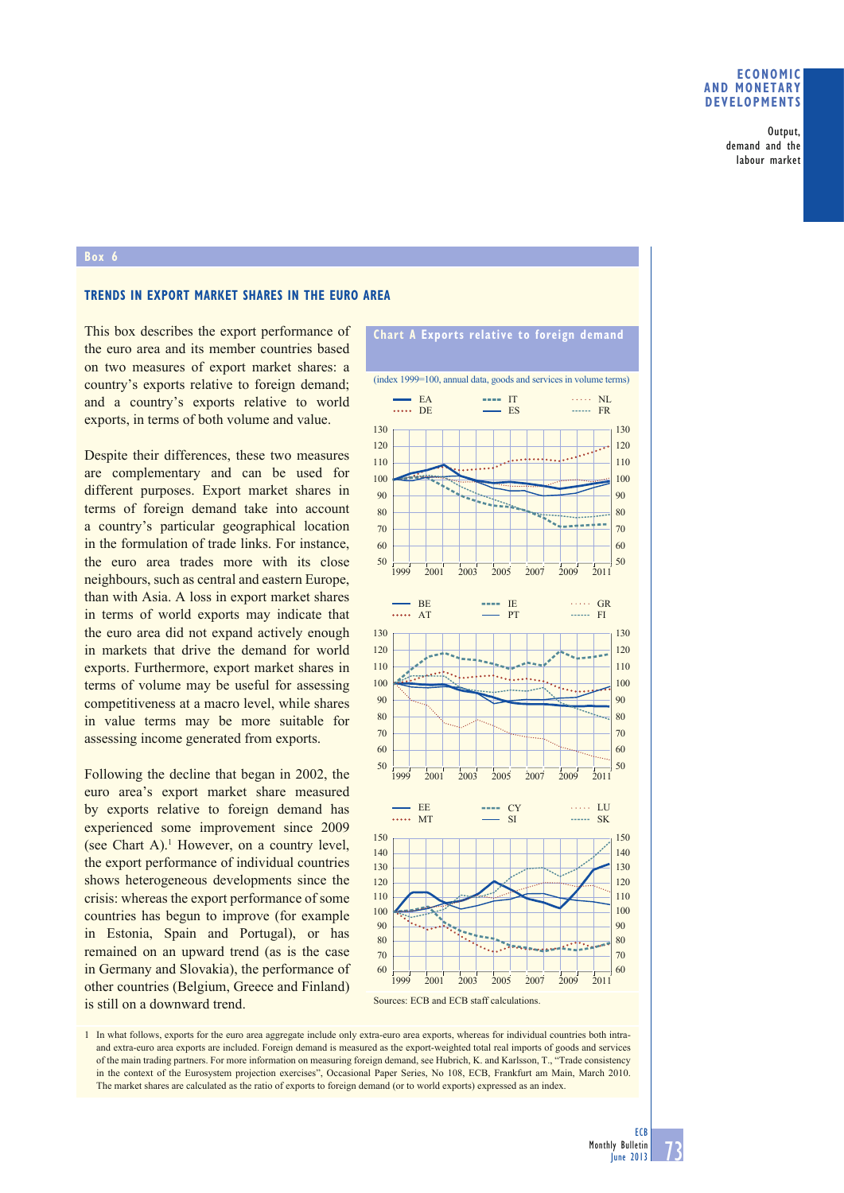### **ECONOMIC AND MONETARY DEVELOPMENTS**

Output, demand and the labour market

#### **Box 6**

## **TRENDS IN EXPORT MARKET SHARES IN THE EURO AREA**

This box describes the export performance of the euro area and its member countries based on two measures of export market shares: a country's exports relative to foreign demand; and a country's exports relative to world exports, in terms of both volume and value.

Despite their differences, these two measures are complementary and can be used for different purposes. Export market shares in terms of foreign demand take into account a country's particular geographical location in the formulation of trade links. For instance, the euro area trades more with its close neighbours, such as central and eastern Europe, than with Asia. A loss in export market shares in terms of world exports may indicate that the euro area did not expand actively enough in markets that drive the demand for world exports. Furthermore, export market shares in terms of volume may be useful for assessing competitiveness at a macro level, while shares in value terms may be more suitable for assessing income generated from exports.

Following the decline that began in 2002, the euro area's export market share measured by exports relative to foreign demand has experienced some improvement since 2009 (see Chart A).<sup>1</sup> However, on a country level, the export performance of individual countries shows heterogeneous developments since the crisis: whereas the export performance of some countries has begun to improve (for example in Estonia, Spain and Portugal), or has remained on an upward trend (as is the case in Germany and Slovakia), the performance of other countries (Belgium, Greece and Finland) is still on a downward trend.



Sources: ECB and ECB staff calculations.

1 In what follows, exports for the euro area aggregate include only extra-euro area exports, whereas for individual countries both intraand extra-euro area exports are included. Foreign demand is measured as the export-weighted total real imports of goods and services of the main trading partners. For more information on measuring foreign demand, see Hubrich, K. and Karlsson, T., "Trade consistency in the context of the Eurosystem projection exercises", Occasional Paper Series, No 108, ECB, Frankfurt am Main, March 2010. The market shares are calculated as the ratio of exports to foreign demand (or to world exports) expressed as an index.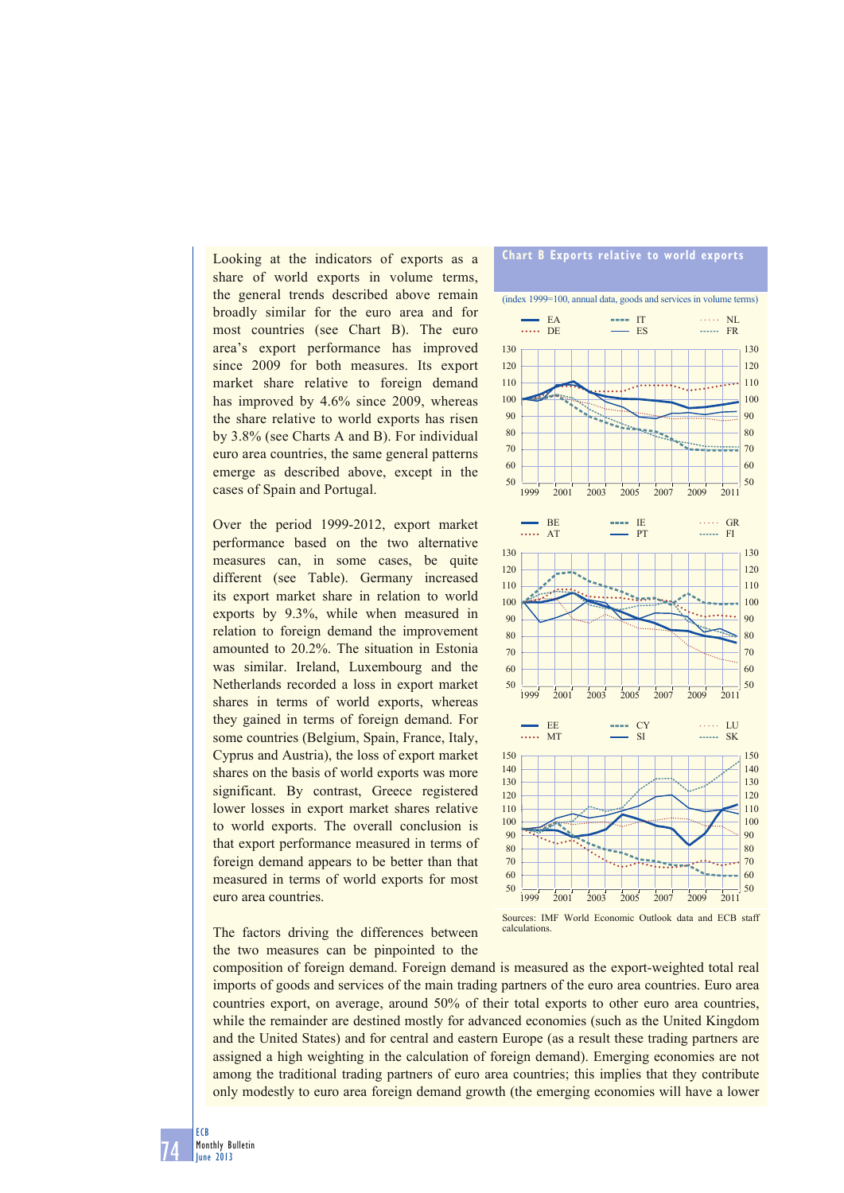Looking at the indicators of exports as a share of world exports in volume terms, the general trends described above remain broadly similar for the euro area and for most countries (see Chart B). The euro area's export performance has improved since 2009 for both measures. Its export market share relative to foreign demand has improved by 4.6% since 2009, whereas the share relative to world exports has risen by 3.8% (see Charts A and B). For individual euro area countries, the same general patterns emerge as described above, except in the cases of Spain and Portugal.

Over the period 1999-2012, export market performance based on the two alternative measures can, in some cases, be quite different (see Table). Germany increased its export market share in relation to world exports by 9.3%, while when measured in relation to foreign demand the improvement amounted to 20.2%. The situation in Estonia was similar. Ireland, Luxembourg and the Netherlands recorded a loss in export market shares in terms of world exports, whereas they gained in terms of foreign demand. For some countries (Belgium, Spain, France, Italy, Cyprus and Austria), the loss of export market shares on the basis of world exports was more significant. By contrast, Greece registered lower losses in export market shares relative to world exports. The overall conclusion is that export performance measured in terms of foreign demand appears to be better than that measured in terms of world exports for most euro area countries.





Sources: IMF World Economic Outlook data and ECB staff calculations.

composition of foreign demand. Foreign demand is measured as the export-weighted total real imports of goods and services of the main trading partners of the euro area countries. Euro area countries export, on average, around 50% of their total exports to other euro area countries, while the remainder are destined mostly for advanced economies (such as the United Kingdom and the United States) and for central and eastern Europe (as a result these trading partners are assigned a high weighting in the calculation of foreign demand). Emerging economies are not among the traditional trading partners of euro area countries; this implies that they contribute only modestly to euro area foreign demand growth (the emerging economies will have a lower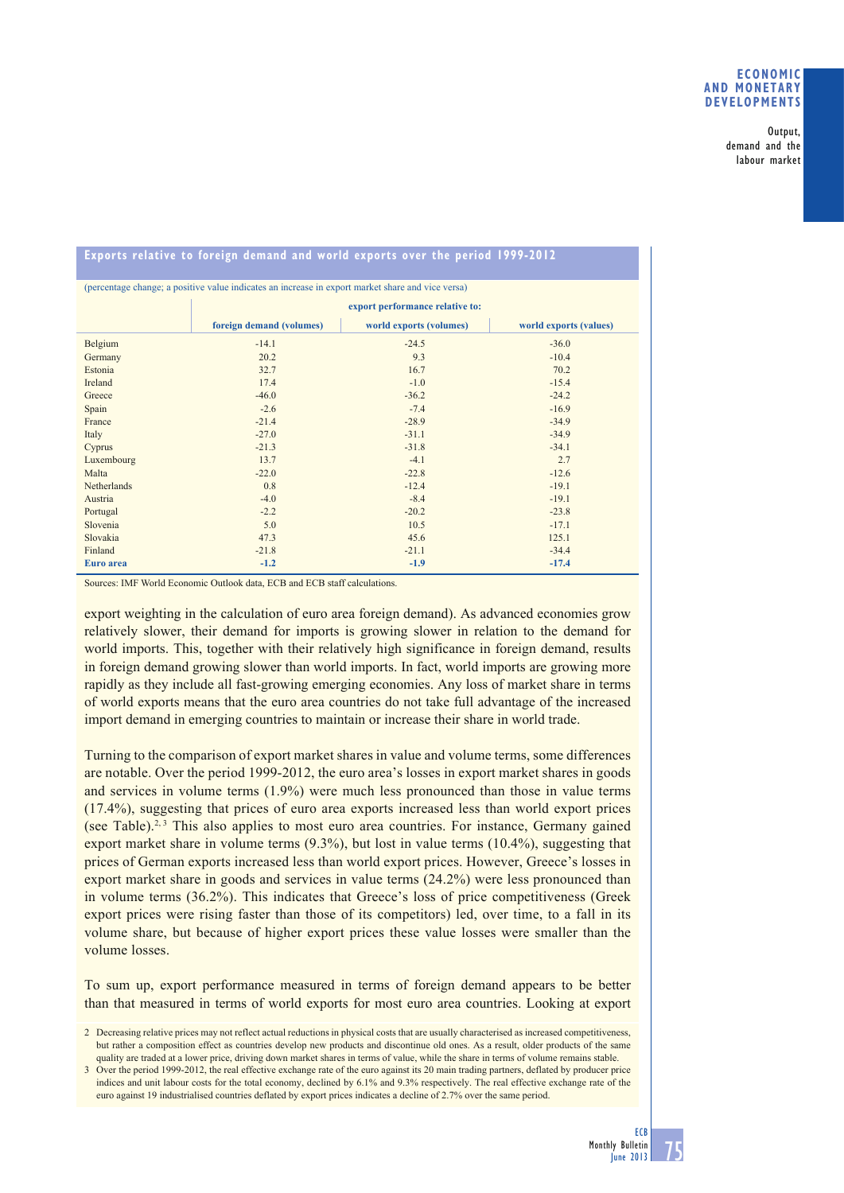## **ECONOMIC AND MONETARY DEVELOPMENTS**

Output, demand and the labour market

| (percentage change; a positive value indicates an increase in export market share and vice versa) |                                 |                         |                        |
|---------------------------------------------------------------------------------------------------|---------------------------------|-------------------------|------------------------|
|                                                                                                   | export performance relative to: |                         |                        |
|                                                                                                   | foreign demand (volumes)        | world exports (volumes) | world exports (values) |
| Belgium                                                                                           | $-14.1$                         | $-24.5$                 | $-36.0$                |
| Germany                                                                                           | 20.2                            | 9.3                     | $-10.4$                |
| Estonia                                                                                           | 32.7                            | 16.7                    | 70.2                   |
| Ireland                                                                                           | 17.4                            | $-1.0$                  | $-15.4$                |
| Greece                                                                                            | $-46.0$                         | $-36.2$                 | $-24.2$                |
| Spain                                                                                             | $-2.6$                          | $-7.4$                  | $-16.9$                |
| France                                                                                            | $-21.4$                         | $-28.9$                 | $-34.9$                |
| Italy                                                                                             | $-27.0$                         | $-31.1$                 | $-34.9$                |
| Cyprus                                                                                            | $-21.3$                         | $-31.8$                 | $-34.1$                |
| Luxembourg                                                                                        | 13.7                            | $-4.1$                  | 2.7                    |
| Malta                                                                                             | $-22.0$                         | $-22.8$                 | $-12.6$                |
| Netherlands                                                                                       | 0.8                             | $-12.4$                 | $-19.1$                |
| Austria                                                                                           | $-4.0$                          | $-8.4$                  | $-19.1$                |
| Portugal                                                                                          | $-2.2$                          | $-20.2$                 | $-23.8$                |
| Slovenia                                                                                          | 5.0                             | 10.5                    | $-17.1$                |
| Slovakia                                                                                          | 47.3                            | 45.6                    | 125.1                  |
| Finland                                                                                           | $-21.8$                         | $-21.1$                 | $-34.4$                |
| Euro area                                                                                         | $-1.2$                          | $-1.9$                  | $-17.4$                |

# **Exports relative to foreign demand and world exports over the period 1999-2012**

Sources: IMF World Economic Outlook data, ECB and ECB staff calculations.

export weighting in the calculation of euro area foreign demand). As advanced economies grow relatively slower, their demand for imports is growing slower in relation to the demand for world imports. This, together with their relatively high significance in foreign demand, results in foreign demand growing slower than world imports. In fact, world imports are growing more rapidly as they include all fast-growing emerging economies. Any loss of market share in terms of world exports means that the euro area countries do not take full advantage of the increased import demand in emerging countries to maintain or increase their share in world trade.

Turning to the comparison of export market shares in value and volume terms, some differences are notable. Over the period 1999-2012, the euro area's losses in export market shares in goods and services in volume terms (1.9%) were much less pronounced than those in value terms (17.4%), suggesting that prices of euro area exports increased less than world export prices (see Table).<sup>2, 3</sup> This also applies to most euro area countries. For instance, Germany gained export market share in volume terms (9.3%), but lost in value terms (10.4%), suggesting that prices of German exports increased less than world export prices. However, Greece's losses in export market share in goods and services in value terms (24.2%) were less pronounced than in volume terms (36.2%). This indicates that Greece's loss of price competitiveness (Greek export prices were rising faster than those of its competitors) led, over time, to a fall in its volume share, but because of higher export prices these value losses were smaller than the volume losses.

To sum up, export performance measured in terms of foreign demand appears to be better than that measured in terms of world exports for most euro area countries. Looking at export

<sup>2</sup> Decreasing relative prices may not reflect actual reductions in physical costs that are usually characterised as increased competitiveness, but rather a composition effect as countries develop new products and discontinue old ones. As a result, older products of the same quality are traded at a lower price, driving down market shares in terms of value, while the share in terms of volume remains stable.

<sup>3</sup> Over the period 1999-2012, the real effective exchange rate of the euro against its 20 main trading partners, deflated by producer price indices and unit labour costs for the total economy, declined by 6.1% and 9.3% respectively. The real effective exchange rate of the euro against 19 industrialised countries deflated by export prices indicates a decline of 2.7% over the same period.